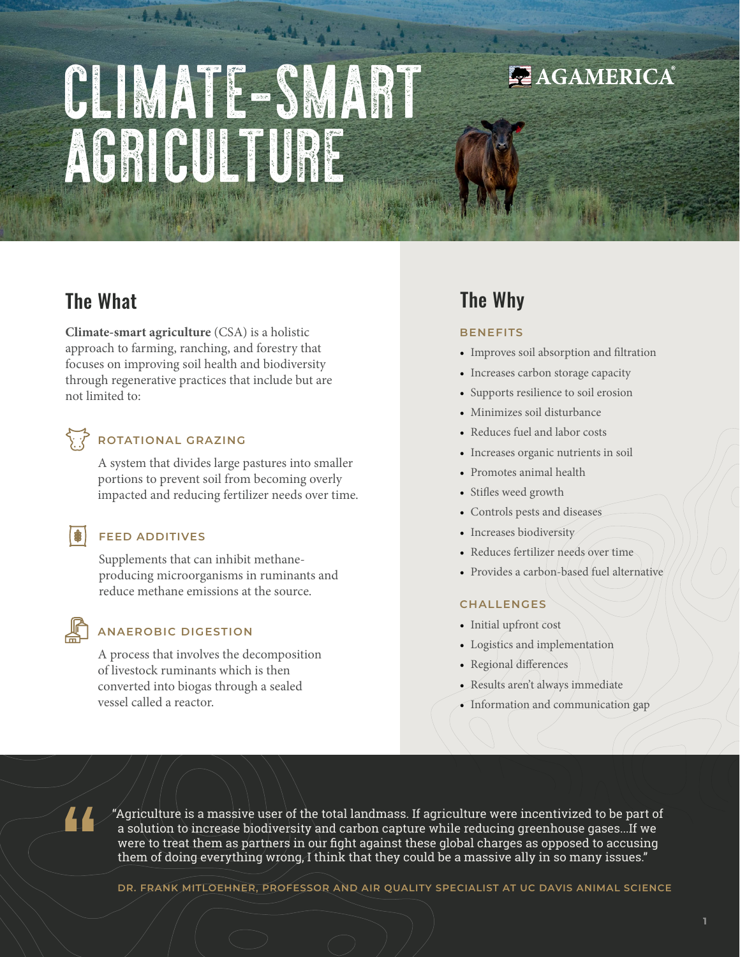# CLIMATE-SMART AGRICULTURE

Charles and the state

## The What

**Climate-smart agriculture** (CSA) is a holistic approach to farming, ranching, and forestry that focuses on improving soil health and biodiversity through regenerative practices that include but are not limited to:

## **ROTATIONAL GRAZING**

A system that divides large pastures into smaller portions to prevent soil from becoming overly impacted and reducing fertilizer needs over time.

#### **FEED ADDITIVES**

Supplements that can inhibit methaneproducing microorganisms in ruminants and reduce methane emissions at the source.

【串】

### **ANAEROBIC DIGESTION**

A process that involves the decomposition of livestock ruminants which is then converted into biogas through a sealed vessel called a reactor.

## The Why

#### **BENEFITS**

• Improves soil absorption and filtration

AGAMERICA®

- Increases carbon storage capacity
- Supports resilience to soil erosion
- Minimizes soil disturbance
- Reduces fuel and labor costs
- Increases organic nutrients in soil
- Promotes animal health
- Stifles weed growth
- Controls pests and diseases
- Increases biodiversity
- Reduces fertilizer needs over time
- Provides a carbon-based fuel alternative

#### **CHALLENGES**

- Initial upfront cost
- Logistics and implementation
- Regional differences
- Results aren't always immediate
- Information and communication gap

"Agriculture is a massive user of the total landmass. If agriculture were incentivized to be part of a solution to increase biodiversity and carbon capture while reducing greenhouse gases...If we were to treat them as partners in our fight against these global charges as opposed to accusing them of doing everything wrong, I think that they could be a massive ally in so many issues."

**DR. FRANK MITLOEHNER, PROFESSOR AND AIR QUALITY SPECIALIST AT UC DAVIS ANIMAL SCIENCE**